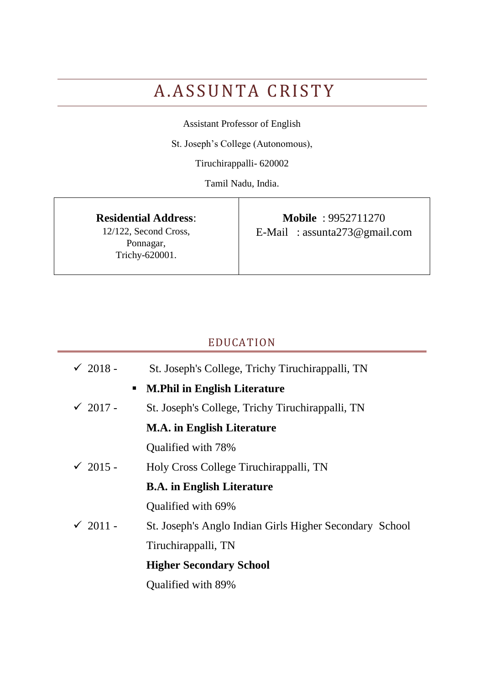# A.ASSUNTA CRISTY

Assistant Professor of English

St. Joseph's College (Autonomous),

Tiruchirappalli- 620002

Tamil Nadu, India.

**Residential Address**:

12/122, Second Cross, Ponnagar, Trichy-620001.

**Mobile** : 9952711270 E-Mail : assunta273@gmail.com

# EDUCATION

| $\sqrt{2018}$ - | St. Joseph's College, Trichy Tiruchirappalli, TN        |
|-----------------|---------------------------------------------------------|
|                 | • M.Phil in English Literature                          |
| $\sqrt{2017}$ - | St. Joseph's College, Trichy Tiruchirappalli, TN        |
|                 | <b>M.A.</b> in English Literature                       |
|                 | Qualified with 78%                                      |
| $\sqrt{2015}$ - | Holy Cross College Tiruchirappalli, TN                  |
|                 | <b>B.A.</b> in English Literature                       |
|                 | Qualified with 69%                                      |
| $\sqrt{2011}$ - | St. Joseph's Anglo Indian Girls Higher Secondary School |
|                 | Tiruchirappalli, TN                                     |
|                 | <b>Higher Secondary School</b>                          |
|                 | Qualified with 89%                                      |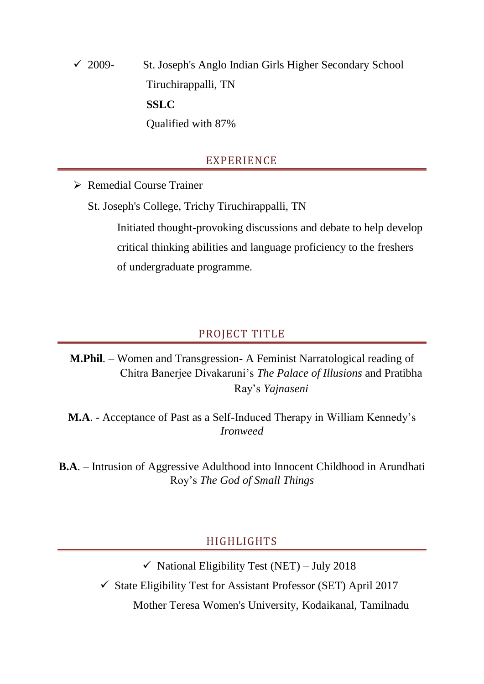$\checkmark$  2009- St. Joseph's Anglo Indian Girls Higher Secondary School Tiruchirappalli, TN **SSLC** Qualified with 87%

# EXPERIENCE

Remedial Course Trainer

St. Joseph's College, Trichy Tiruchirappalli, TN

Initiated thought-provoking discussions and debate to help develop critical thinking abilities and language proficiency to the freshers of undergraduate programme.

#### PROJECT TITLE

**M.Phil**. – Women and Transgression- A Feminist Narratological reading of Chitra Banerjee Divakaruni's *The Palace of Illusions* and Pratibha Ray's *Yajnaseni*

**M.A**. - Acceptance of Past as a Self-Induced Therapy in William Kennedy's *Ironweed*

**B.A**. – Intrusion of Aggressive Adulthood into Innocent Childhood in Arundhati Roy's *The God of Small Things*

#### HIGHLIGHTS

 $\checkmark$  National Eligibility Test (NET) – July 2018

 $\checkmark$  State Eligibility Test for Assistant Professor (SET) April 2017

Mother Teresa Women's University, Kodaikanal, Tamilnadu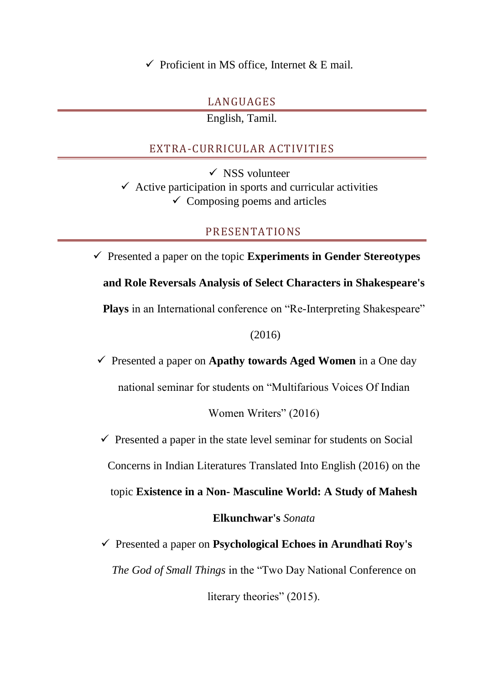$\checkmark$  Proficient in MS office, Internet & E mail.

# LANGUAGES

English, Tamil.

# EXTRA-CURRICULAR ACTIVITIES

 $\checkmark$  NSS volunteer  $\checkmark$  Active participation in sports and curricular activities  $\checkmark$  Composing poems and articles

# PRESENTATIONS

 $\checkmark$  Presented a paper on the topic **Experiments in Gender Stereotypes and Role Reversals Analysis of Select Characters in Shakespeare's Plays** in an International conference on "Re-Interpreting Shakespeare" (2016)

 $\checkmark$  Presented a paper on **Apathy towards Aged Women** in a One day national seminar for students on "Multifarious Voices Of Indian

Women Writers" (2016)

 $\checkmark$  Presented a paper in the state level seminar for students on Social

Concerns in Indian Literatures Translated Into English (2016) on the

topic **Existence in a Non- Masculine World: A Study of Mahesh** 

**Elkunchwar's** *Sonata*

 Presented a paper on **Psychological Echoes in Arundhati Roy's** *The God of Small Things* in the "Two Day National Conference on

literary theories" (2015).